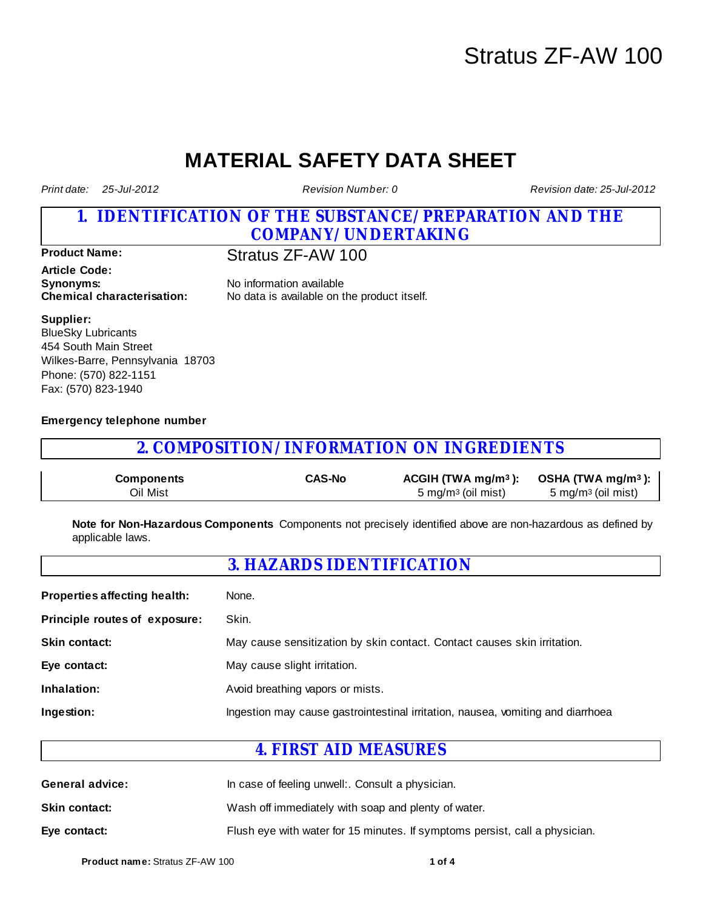# Stratus ZF-AW 100

# **MATERIAL SAFETY DATA SHEET**

*Print date: 25-Jul-2012*

*Revision Number: 0*

*Revision date: 25-Jul-2012* 

### **1. IDENTIFICATION OF THE SUBSTANCE/PREPARATION AND THE COMPANY/UNDERTAKING**

**Product Name:** Stratus ZF-AW 100

**Article Code: Synonyms:** No information available

**Chemical characterisation:** No data is available on the product itself.

**Supplier:**

BlueSky Lubricants 454 South Main Street Wilkes-Barre, Pennsylvania 18703 Phone: (570) 822-1151 Fax: (570) 823-1940

### **Emergency telephone number**

## **2. COMPOSITION/INFORMATION ON INGREDIENTS**

| Components | <b>CAS-No</b> |                                | ACGIH (TWA mg/m <sup>3</sup> ): OSHA (TWA mg/m <sup>3</sup> ): |
|------------|---------------|--------------------------------|----------------------------------------------------------------|
| Oil Mist   |               | 5 mg/m <sup>3</sup> (oil mist) | 5 mg/m <sup>3</sup> (oil mist)                                 |

**Note for Non-Hazardous Components** Components not precisely identified above are non-hazardous as defined by applicable laws.

## **3. HAZARDS IDENTIFICATION**

| None.                                                                           |
|---------------------------------------------------------------------------------|
| Skin.                                                                           |
| May cause sensitization by skin contact. Contact causes skin irritation.        |
| May cause slight irritation.                                                    |
| Avoid breathing vapors or mists.                                                |
| Ingestion may cause gastrointestinal irritation, nausea, vomiting and diarrhoea |
|                                                                                 |

## **4. FIRST AID MEASURES**

| <b>General advice:</b> | In case of feeling unwell:. Consult a physician.                            |  |  |
|------------------------|-----------------------------------------------------------------------------|--|--|
| <b>Skin contact:</b>   | Wash off immediately with soap and plenty of water.                         |  |  |
| Eye contact:           | Flush eye with water for 15 minutes. If symptoms persist, call a physician. |  |  |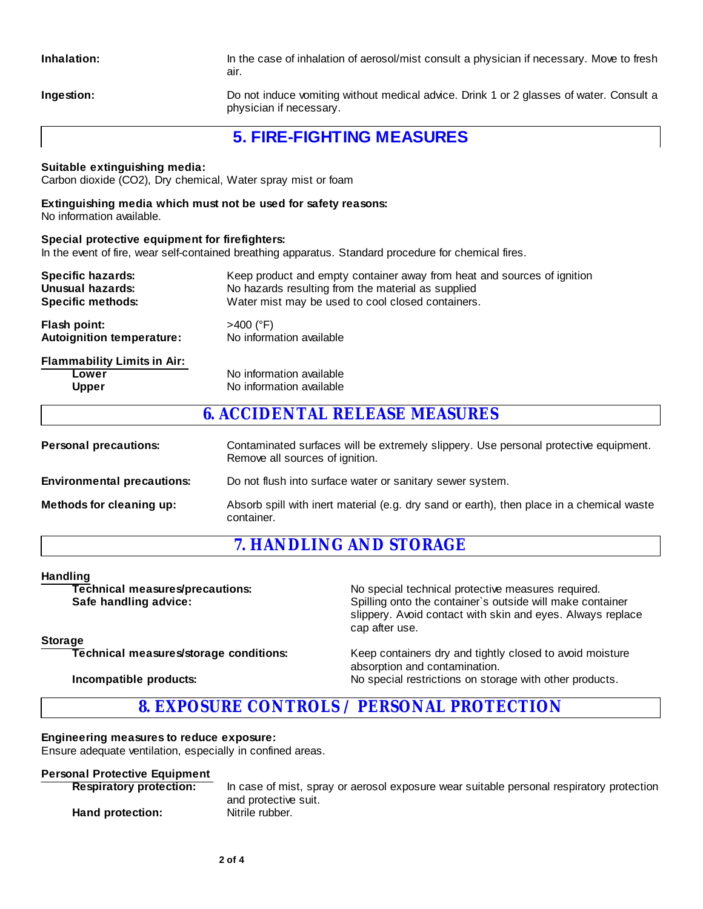**Inhalation:** In the case of inhalation of aerosol/mist consult a physician if necessary. Move to fresh air.

**Ingestion:** Do not induce vomiting without medical advice. Drink 1 or 2 glasses of water. Consult a physician if necessary.

## **5. FIRE-FIGHTING MEASURES**

#### **Suitable extinguishing media:**

Carbon dioxide (CO2), Dry chemical, Water spray mist or foam

#### **Extinguishing media which must not be used for safety reasons:**

No information available.

#### **Special protective equipment for firefighters:**

In the event of fire, wear self-contained breathing apparatus. Standard procedure for chemical fires.

| <b>Specific hazards:</b>                                    | Keep product and empty container away from heat and sources of ignition |  |  |
|-------------------------------------------------------------|-------------------------------------------------------------------------|--|--|
| Unusual hazards:                                            | No hazards resulting from the material as supplied                      |  |  |
| <b>Specific methods:</b>                                    | Water mist may be used to cool closed containers.                       |  |  |
| Flash point:                                                | $>400$ (°F)                                                             |  |  |
| <b>Autoignition temperature:</b>                            | No information available                                                |  |  |
| <b>Flammability Limits in Air:</b><br>Lower<br><b>Upper</b> | No information available<br>No information available                    |  |  |

## **6. ACCIDENTAL RELEASE MEASURES**

| <b>Personal precautions:</b>      | Contaminated surfaces will be extremely slippery. Use personal protective equipment.<br>Remove all sources of ignition. |
|-----------------------------------|-------------------------------------------------------------------------------------------------------------------------|
| <b>Environmental precautions:</b> | Do not flush into surface water or sanitary sewer system.                                                               |
| Methods for cleaning up:          | Absorb spill with inert material (e.g. dry sand or earth), then place in a chemical waste<br>container.                 |

## **7. HANDLING AND STORAGE**

#### **Handling**

| Technical measures/precautions:        | No special technical protective measures required.                                                                                        |  |  |
|----------------------------------------|-------------------------------------------------------------------------------------------------------------------------------------------|--|--|
| Safe handling advice:                  | Spilling onto the container's outside will make container<br>slippery. Avoid contact with skin and eyes. Always replace<br>cap after use. |  |  |
| <b>Storage</b>                         |                                                                                                                                           |  |  |
| Technical measures/storage conditions: | Keep containers dry and tightly closed to avoid moisture<br>absorption and contamination.                                                 |  |  |
| Incompatible products:                 | No special restrictions on storage with other products.                                                                                   |  |  |

## **8. EXPOSURE CONTROLS / PERSONAL PROTECTION**

#### **Engineering measures to reduce exposure:**

Ensure adequate ventilation, especially in confined areas.

### **Personal Protective Equipment**

| <b>Respiratory protection:</b> | In case of mist, spray or aerosol exposure wear suitable personal respiratory protection |
|--------------------------------|------------------------------------------------------------------------------------------|
| Hand protection:               | and protective suit.<br>Nitrile rubber.                                                  |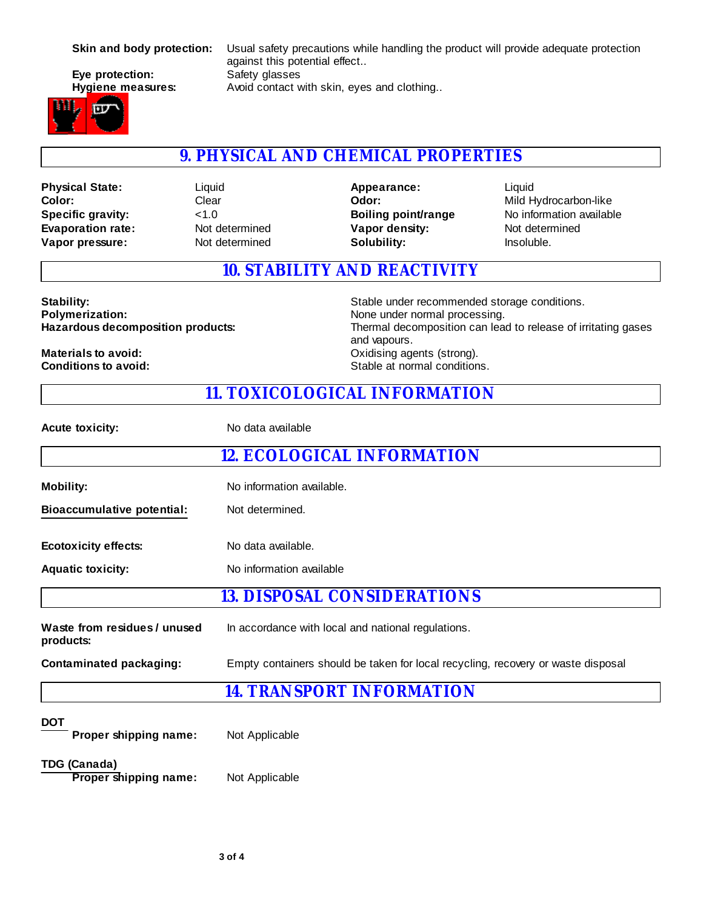# **Eye protection:** Safety glasses



**Skin and body protection:** Usual safety precautions while handling the product will provide adequate protection against this potential effect.. **Hygiene measures:** Avoid contact with skin, eyes and clothing..

## **9. PHYSICAL AND CHEMICAL PROPERTIES**

**Evaporation rate:** Not determined **Color: Vapor pressure:** Not determined **Physical State: Specific gravity:**  $<$ 1.0

Clear Liquid **Vapor density:** Not determined **Solubility:** Insoluble. **Odor:** Mild Hydrocarbon-like **Appearance:**

Liquid **Boiling point/range** No information available

## **10. STABILITY AND REACTIVITY**

Stability:<br> **Stability:** Stable under recommended storage conditions.<br> **Polymerization:** None under normal processing. None under normal processing. **Hazardous decomposition products:** Thermal decomposition can lead to release of irritating gases and vapours. **Materials to avoid:**<br> **Conditions to avoid:**<br>
Conditions to avoid:<br>
Conditions to avoid: **Stable at normal conditions.** 

## **11. TOXICOLOGICAL INFORMATION**

| <b>Acute toxicity:</b>                              | No data available                                                                |  |  |  |
|-----------------------------------------------------|----------------------------------------------------------------------------------|--|--|--|
|                                                     | <b>12. ECOLOGICAL INFORMATION</b>                                                |  |  |  |
| <b>Mobility:</b>                                    | No information available.                                                        |  |  |  |
| <b>Bioaccumulative potential:</b>                   | Not determined.                                                                  |  |  |  |
| <b>Ecotoxicity effects:</b>                         | No data available.                                                               |  |  |  |
| <b>Aquatic toxicity:</b>                            | No information available                                                         |  |  |  |
|                                                     | 13. DISPOSAL CONSIDERATIONS                                                      |  |  |  |
| Waste from residues / unused<br>products:           | In accordance with local and national regulations.                               |  |  |  |
| <b>Contaminated packaging:</b>                      | Empty containers should be taken for local recycling, recovery or waste disposal |  |  |  |
|                                                     | 14. TRANSPORT INFORMATION                                                        |  |  |  |
| <b>DOT</b><br>Proper shipping name:                 | Not Applicable                                                                   |  |  |  |
| <b>TDG (Canada)</b><br><b>Proper shipping name:</b> | Not Applicable                                                                   |  |  |  |